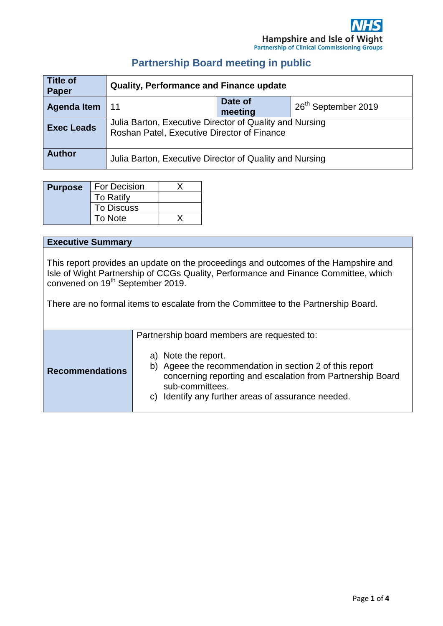# **Partnership Board meeting in public**

| <b>Title of</b><br>Paper | <b>Quality, Performance and Finance update</b>                                                         |                    |                                 |
|--------------------------|--------------------------------------------------------------------------------------------------------|--------------------|---------------------------------|
| <b>Agenda Item</b>       | -11                                                                                                    | Date of<br>meeting | 26 <sup>th</sup> September 2019 |
| <b>Exec Leads</b>        | Julia Barton, Executive Director of Quality and Nursing<br>Roshan Patel, Executive Director of Finance |                    |                                 |
| <b>Author</b>            | Julia Barton, Executive Director of Quality and Nursing                                                |                    |                                 |

| <b>Purpose</b> | <b>For Decision</b> |  |
|----------------|---------------------|--|
|                | <b>To Ratify</b>    |  |
|                | <b>To Discuss</b>   |  |
|                | To Note             |  |

#### **Executive Summary**

This report provides an update on the proceedings and outcomes of the Hampshire and Isle of Wight Partnership of CCGs Quality, Performance and Finance Committee, which convened on 19<sup>th</sup> September 2019.

There are no formal items to escalate from the Committee to the Partnership Board.

|                        | Partnership board members are requested to:                                                                                                                                                                           |
|------------------------|-----------------------------------------------------------------------------------------------------------------------------------------------------------------------------------------------------------------------|
| <b>Recommendations</b> | a) Note the report.<br>b) Ageee the recommendation in section 2 of this report<br>concerning reporting and escalation from Partnership Board<br>sub-committees.<br>c) Identify any further areas of assurance needed. |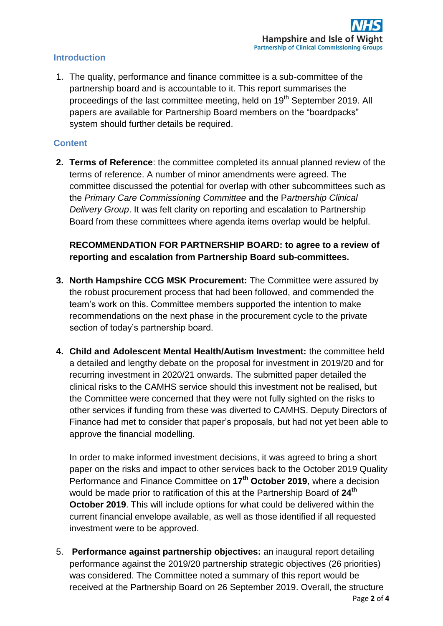### **Introduction**

1. The quality, performance and finance committee is a sub-committee of the partnership board and is accountable to it. This report summarises the proceedings of the last committee meeting, held on 19<sup>th</sup> September 2019. All papers are available for Partnership Board members on the "boardpacks" system should further details be required.

## **Content**

**2. Terms of Reference**: the committee completed its annual planned review of the terms of reference. A number of minor amendments were agreed. The committee discussed the potential for overlap with other subcommittees such as the *Primary Care Commissioning Committee* and the P*artnership Clinical Delivery Group*. It was felt clarity on reporting and escalation to Partnership Board from these committees where agenda items overlap would be helpful.

## **RECOMMENDATION FOR PARTNERSHIP BOARD: to agree to a review of reporting and escalation from Partnership Board sub-committees.**

- **3. North Hampshire CCG MSK Procurement:** The Committee were assured by the robust procurement process that had been followed, and commended the team's work on this. Committee members supported the intention to make recommendations on the next phase in the procurement cycle to the private section of today's partnership board.
- **4. Child and Adolescent Mental Health/Autism Investment:** the committee held a detailed and lengthy debate on the proposal for investment in 2019/20 and for recurring investment in 2020/21 onwards. The submitted paper detailed the clinical risks to the CAMHS service should this investment not be realised, but the Committee were concerned that they were not fully sighted on the risks to other services if funding from these was diverted to CAMHS. Deputy Directors of Finance had met to consider that paper's proposals, but had not yet been able to approve the financial modelling.

In order to make informed investment decisions, it was agreed to bring a short paper on the risks and impact to other services back to the October 2019 Quality Performance and Finance Committee on **17th October 2019**, where a decision would be made prior to ratification of this at the Partnership Board of **24th October 2019**. This will include options for what could be delivered within the current financial envelope available, as well as those identified if all requested investment were to be approved.

5. **Performance against partnership objectives:** an inaugural report detailing performance against the 2019/20 partnership strategic objectives (26 priorities) was considered. The Committee noted a summary of this report would be received at the Partnership Board on 26 September 2019. Overall, the structure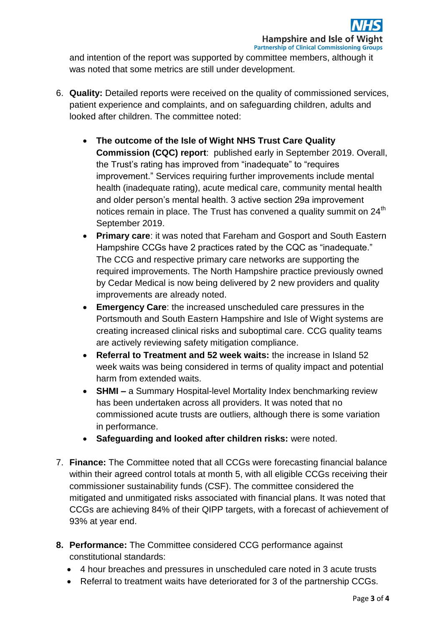and intention of the report was supported by committee members, although it was noted that some metrics are still under development.

- 6. **Quality:** Detailed reports were received on the quality of commissioned services, patient experience and complaints, and on safeguarding children, adults and looked after children. The committee noted:
	- **The outcome of the Isle of Wight NHS Trust Care Quality Commission (CQC) report**: published early in September 2019. Overall, the Trust's rating has improved from "inadequate" to "requires improvement." Services requiring further improvements include mental health (inadequate rating), acute medical care, community mental health and older person's mental health. 3 active section 29a improvement notices remain in place. The Trust has convened a quality summit on 24<sup>th</sup> September 2019.
	- **Primary care**: it was noted that Fareham and Gosport and South Eastern Hampshire CCGs have 2 practices rated by the CQC as "inadequate." The CCG and respective primary care networks are supporting the required improvements. The North Hampshire practice previously owned by Cedar Medical is now being delivered by 2 new providers and quality improvements are already noted.
	- **Emergency Care**: the increased unscheduled care pressures in the Portsmouth and South Eastern Hampshire and Isle of Wight systems are creating increased clinical risks and suboptimal care. CCG quality teams are actively reviewing safety mitigation compliance.
	- **Referral to Treatment and 52 week waits:** the increase in Island 52 week waits was being considered in terms of quality impact and potential harm from extended waits.
	- **SHMI –** a Summary Hospital-level Mortality Index benchmarking review has been undertaken across all providers. It was noted that no commissioned acute trusts are outliers, although there is some variation in performance.
	- **Safeguarding and looked after children risks:** were noted.
- 7. **Finance:** The Committee noted that all CCGs were forecasting financial balance within their agreed control totals at month 5, with all eligible CCGs receiving their commissioner sustainability funds (CSF). The committee considered the mitigated and unmitigated risks associated with financial plans. It was noted that CCGs are achieving 84% of their QIPP targets, with a forecast of achievement of 93% at year end.
- **8. Performance:** The Committee considered CCG performance against constitutional standards:
	- 4 hour breaches and pressures in unscheduled care noted in 3 acute trusts
	- Referral to treatment waits have deteriorated for 3 of the partnership CCGs.